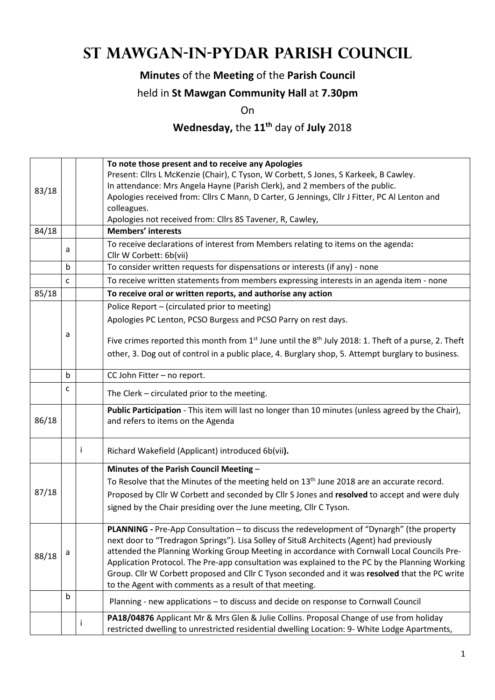# **St Mawgan-in-Pydar Parish Council**

### **Minutes** of the **Meeting** of the **Parish Council**

#### held in **St Mawgan Community Hall** at **7.30pm**

On

## **Wednesday,** the **11th** day of **July** 2018

|                                                                                                    |             |                                                                                      | To note those present and to receive any Apologies                                                       |  |  |  |
|----------------------------------------------------------------------------------------------------|-------------|--------------------------------------------------------------------------------------|----------------------------------------------------------------------------------------------------------|--|--|--|
|                                                                                                    |             | Present: Cllrs L McKenzie (Chair), C Tyson, W Corbett, S Jones, S Karkeek, B Cawley. |                                                                                                          |  |  |  |
| 83/18                                                                                              |             |                                                                                      | In attendance: Mrs Angela Hayne (Parish Clerk), and 2 members of the public.                             |  |  |  |
|                                                                                                    |             |                                                                                      | Apologies received from: Cllrs C Mann, D Carter, G Jennings, Cllr J Fitter, PC Al Lenton and             |  |  |  |
|                                                                                                    |             |                                                                                      | colleagues.                                                                                              |  |  |  |
|                                                                                                    |             |                                                                                      | Apologies not received from: Cllrs 8S Tavener, R, Cawley,                                                |  |  |  |
| 84/18                                                                                              |             |                                                                                      | <b>Members' interests</b>                                                                                |  |  |  |
|                                                                                                    | a           |                                                                                      | To receive declarations of interest from Members relating to items on the agenda:                        |  |  |  |
|                                                                                                    | $\mathbf b$ |                                                                                      | Cllr W Corbett: 6b(vii)<br>To consider written requests for dispensations or interests (if any) - none   |  |  |  |
|                                                                                                    | C           |                                                                                      | To receive written statements from members expressing interests in an agenda item - none                 |  |  |  |
| 85/18                                                                                              |             |                                                                                      |                                                                                                          |  |  |  |
|                                                                                                    |             |                                                                                      | To receive oral or written reports, and authorise any action                                             |  |  |  |
|                                                                                                    |             |                                                                                      | Police Report - (circulated prior to meeting)                                                            |  |  |  |
|                                                                                                    |             |                                                                                      | Apologies PC Lenton, PCSO Burgess and PCSO Parry on rest days.                                           |  |  |  |
|                                                                                                    | а           |                                                                                      |                                                                                                          |  |  |  |
|                                                                                                    |             |                                                                                      | Five crimes reported this month from $1st$ June until the $8th$ July 2018: 1. Theft of a purse, 2. Theft |  |  |  |
| other, 3. Dog out of control in a public place, 4. Burglary shop, 5. Attempt burglary to business. |             |                                                                                      |                                                                                                          |  |  |  |
|                                                                                                    | $\mathbf b$ |                                                                                      | CC John Fitter - no report.                                                                              |  |  |  |
|                                                                                                    | c           |                                                                                      | The Clerk - circulated prior to the meeting.                                                             |  |  |  |
|                                                                                                    |             |                                                                                      | Public Participation - This item will last no longer than 10 minutes (unless agreed by the Chair),       |  |  |  |
| 86/18                                                                                              |             | and refers to items on the Agenda                                                    |                                                                                                          |  |  |  |
|                                                                                                    |             |                                                                                      |                                                                                                          |  |  |  |
|                                                                                                    |             | Ť                                                                                    | Richard Wakefield (Applicant) introduced 6b(vii).                                                        |  |  |  |
|                                                                                                    |             |                                                                                      | Minutes of the Parish Council Meeting -                                                                  |  |  |  |
|                                                                                                    |             |                                                                                      | To Resolve that the Minutes of the meeting held on $13th$ June 2018 are an accurate record.              |  |  |  |
| 87/18                                                                                              |             |                                                                                      | Proposed by Cllr W Corbett and seconded by Cllr S Jones and resolved to accept and were duly             |  |  |  |
|                                                                                                    |             |                                                                                      | signed by the Chair presiding over the June meeting, Cllr C Tyson.                                       |  |  |  |
|                                                                                                    |             |                                                                                      |                                                                                                          |  |  |  |
|                                                                                                    |             |                                                                                      | PLANNING - Pre-App Consultation - to discuss the redevelopment of "Dynargh" (the property                |  |  |  |
|                                                                                                    |             |                                                                                      | next door to "Tredragon Springs"). Lisa Solley of Situ8 Architects (Agent) had previously                |  |  |  |
|                                                                                                    | a           |                                                                                      | attended the Planning Working Group Meeting in accordance with Cornwall Local Councils Pre-              |  |  |  |
| 88/18                                                                                              |             |                                                                                      | Application Protocol. The Pre-app consultation was explained to the PC by the Planning Working           |  |  |  |
|                                                                                                    |             |                                                                                      | Group. Cllr W Corbett proposed and Cllr C Tyson seconded and it was resolved that the PC write           |  |  |  |
|                                                                                                    |             |                                                                                      | to the Agent with comments as a result of that meeting.                                                  |  |  |  |
|                                                                                                    | $\mathsf b$ |                                                                                      | Planning - new applications - to discuss and decide on response to Cornwall Council                      |  |  |  |
|                                                                                                    |             |                                                                                      | PA18/04876 Applicant Mr & Mrs Glen & Julie Collins. Proposal Change of use from holiday                  |  |  |  |
|                                                                                                    |             |                                                                                      | restricted dwelling to unrestricted residential dwelling Location: 9- White Lodge Apartments,            |  |  |  |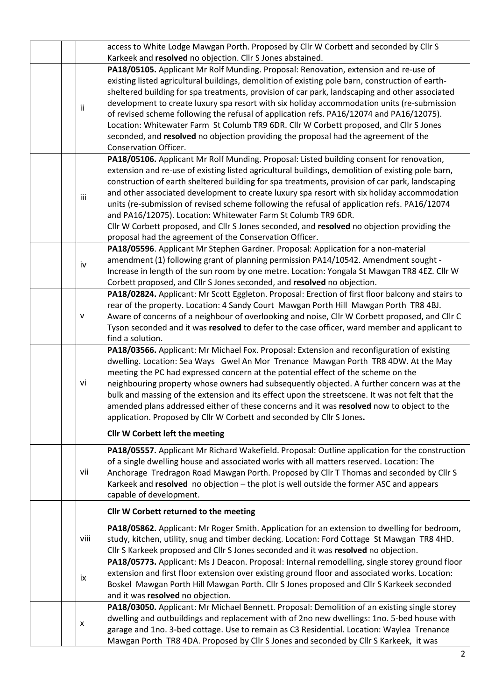| Karkeek and resolved no objection. Cllr S Jones abstained.<br>PA18/05105. Applicant Mr Rolf Munding. Proposal: Renovation, extension and re-use of<br>existing listed agricultural buildings, demolition of existing pole barn, construction of earth- | access to White Lodge Mawgan Porth. Proposed by Cllr W Corbett and seconded by Cllr S |  |  |  |  |
|--------------------------------------------------------------------------------------------------------------------------------------------------------------------------------------------------------------------------------------------------------|---------------------------------------------------------------------------------------|--|--|--|--|
|                                                                                                                                                                                                                                                        |                                                                                       |  |  |  |  |
|                                                                                                                                                                                                                                                        |                                                                                       |  |  |  |  |
|                                                                                                                                                                                                                                                        |                                                                                       |  |  |  |  |
| sheltered building for spa treatments, provision of car park, landscaping and other associated                                                                                                                                                         |                                                                                       |  |  |  |  |
| development to create luxury spa resort with six holiday accommodation units (re-submission<br>ii                                                                                                                                                      |                                                                                       |  |  |  |  |
| of revised scheme following the refusal of application refs. PA16/12074 and PA16/12075).                                                                                                                                                               |                                                                                       |  |  |  |  |
| Location: Whitewater Farm St Columb TR9 6DR. Cllr W Corbett proposed, and Cllr S Jones                                                                                                                                                                 |                                                                                       |  |  |  |  |
| seconded, and resolved no objection providing the proposal had the agreement of the                                                                                                                                                                    |                                                                                       |  |  |  |  |
| Conservation Officer.                                                                                                                                                                                                                                  |                                                                                       |  |  |  |  |
| PA18/05106. Applicant Mr Rolf Munding. Proposal: Listed building consent for renovation,                                                                                                                                                               |                                                                                       |  |  |  |  |
| extension and re-use of existing listed agricultural buildings, demolition of existing pole barn,                                                                                                                                                      |                                                                                       |  |  |  |  |
| construction of earth sheltered building for spa treatments, provision of car park, landscaping                                                                                                                                                        |                                                                                       |  |  |  |  |
| and other associated development to create luxury spa resort with six holiday accommodation<br>iii                                                                                                                                                     |                                                                                       |  |  |  |  |
| units (re-submission of revised scheme following the refusal of application refs. PA16/12074                                                                                                                                                           |                                                                                       |  |  |  |  |
| and PA16/12075). Location: Whitewater Farm St Columb TR9 6DR.                                                                                                                                                                                          |                                                                                       |  |  |  |  |
| Cllr W Corbett proposed, and Cllr S Jones seconded, and resolved no objection providing the                                                                                                                                                            |                                                                                       |  |  |  |  |
| proposal had the agreement of the Conservation Officer.                                                                                                                                                                                                |                                                                                       |  |  |  |  |
| PA18/05596. Applicant Mr Stephen Gardner. Proposal: Application for a non-material                                                                                                                                                                     |                                                                                       |  |  |  |  |
| amendment (1) following grant of planning permission PA14/10542. Amendment sought -<br>iv                                                                                                                                                              |                                                                                       |  |  |  |  |
| Increase in length of the sun room by one metre. Location: Yongala St Mawgan TR8 4EZ. Cllr W                                                                                                                                                           |                                                                                       |  |  |  |  |
| Corbett proposed, and Cllr S Jones seconded, and resolved no objection.                                                                                                                                                                                |                                                                                       |  |  |  |  |
| PA18/02824. Applicant: Mr Scott Eggleton. Proposal: Erection of first floor balcony and stairs to                                                                                                                                                      |                                                                                       |  |  |  |  |
| rear of the property. Location: 4 Sandy Court Mawgan Porth Hill Mawgan Porth TR8 4BJ.                                                                                                                                                                  |                                                                                       |  |  |  |  |
| Aware of concerns of a neighbour of overlooking and noise, Cllr W Corbett proposed, and Cllr C<br>$\mathsf{v}$                                                                                                                                         |                                                                                       |  |  |  |  |
| Tyson seconded and it was resolved to defer to the case officer, ward member and applicant to                                                                                                                                                          |                                                                                       |  |  |  |  |
| find a solution.                                                                                                                                                                                                                                       |                                                                                       |  |  |  |  |
| PA18/03566. Applicant: Mr Michael Fox. Proposal: Extension and reconfiguration of existing                                                                                                                                                             |                                                                                       |  |  |  |  |
| dwelling. Location: Sea Ways Gwel An Mor Trenance Mawgan Porth TR8 4DW. At the May                                                                                                                                                                     |                                                                                       |  |  |  |  |
| meeting the PC had expressed concern at the potential effect of the scheme on the                                                                                                                                                                      |                                                                                       |  |  |  |  |
| vi<br>neighbouring property whose owners had subsequently objected. A further concern was at the                                                                                                                                                       |                                                                                       |  |  |  |  |
|                                                                                                                                                                                                                                                        |                                                                                       |  |  |  |  |
| bulk and massing of the extension and its effect upon the streetscene. It was not felt that the                                                                                                                                                        |                                                                                       |  |  |  |  |
| amended plans addressed either of these concerns and it was resolved now to object to the                                                                                                                                                              |                                                                                       |  |  |  |  |
| application. Proposed by Cllr W Corbett and seconded by Cllr S Jones.                                                                                                                                                                                  |                                                                                       |  |  |  |  |
| Cllr W Corbett left the meeting                                                                                                                                                                                                                        |                                                                                       |  |  |  |  |
|                                                                                                                                                                                                                                                        |                                                                                       |  |  |  |  |
| PA18/05557. Applicant Mr Richard Wakefield. Proposal: Outline application for the construction                                                                                                                                                         |                                                                                       |  |  |  |  |
| of a single dwelling house and associated works with all matters reserved. Location: The                                                                                                                                                               |                                                                                       |  |  |  |  |
| vii<br>Anchorage Tredragon Road Mawgan Porth. Proposed by Cllr T Thomas and seconded by Cllr S                                                                                                                                                         |                                                                                       |  |  |  |  |
| Karkeek and resolved no objection - the plot is well outside the former ASC and appears                                                                                                                                                                |                                                                                       |  |  |  |  |
| capable of development.                                                                                                                                                                                                                                |                                                                                       |  |  |  |  |
| Cllr W Corbett returned to the meeting                                                                                                                                                                                                                 |                                                                                       |  |  |  |  |
| PA18/05862. Applicant: Mr Roger Smith. Application for an extension to dwelling for bedroom,                                                                                                                                                           |                                                                                       |  |  |  |  |
| viii<br>study, kitchen, utility, snug and timber decking. Location: Ford Cottage St Mawgan TR8 4HD.                                                                                                                                                    |                                                                                       |  |  |  |  |
| Cllr S Karkeek proposed and Cllr S Jones seconded and it was resolved no objection.                                                                                                                                                                    |                                                                                       |  |  |  |  |
| PA18/05773. Applicant: Ms J Deacon. Proposal: Internal remodelling, single storey ground floor                                                                                                                                                         |                                                                                       |  |  |  |  |
| extension and first floor extension over existing ground floor and associated works. Location:<br>ix                                                                                                                                                   |                                                                                       |  |  |  |  |
| Boskel Mawgan Porth Hill Mawgan Porth. Cllr S Jones proposed and Cllr S Karkeek seconded                                                                                                                                                               |                                                                                       |  |  |  |  |
| and it was resolved no objection.                                                                                                                                                                                                                      |                                                                                       |  |  |  |  |
| PA18/03050. Applicant: Mr Michael Bennett. Proposal: Demolition of an existing single storey                                                                                                                                                           |                                                                                       |  |  |  |  |
| dwelling and outbuildings and replacement with of 2no new dwellings: 1no. 5-bed house with<br>x<br>garage and 1no. 3-bed cottage. Use to remain as C3 Residential. Location: Waylea Trenance                                                           |                                                                                       |  |  |  |  |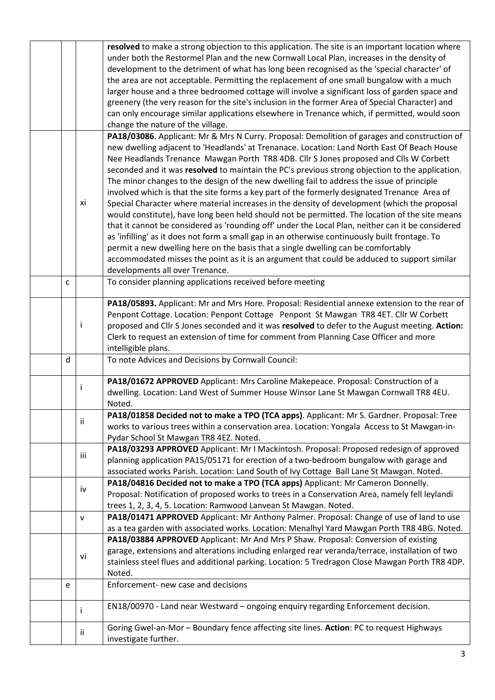|   |              | resolved to make a strong objection to this application. The site is an important location where  |  |  |  |  |
|---|--------------|---------------------------------------------------------------------------------------------------|--|--|--|--|
|   |              | under both the Restormel Plan and the new Cornwall Local Plan, increases in the density of        |  |  |  |  |
|   |              | development to the detriment of what has long been recognised as the 'special character' of       |  |  |  |  |
|   |              | the area are not acceptable. Permitting the replacement of one small bungalow with a much         |  |  |  |  |
|   |              | larger house and a three bedroomed cottage will involve a significant loss of garden space and    |  |  |  |  |
|   |              | greenery (the very reason for the site's inclusion in the former Area of Special Character) and   |  |  |  |  |
|   |              |                                                                                                   |  |  |  |  |
|   |              | can only encourage similar applications elsewhere in Trenance which, if permitted, would soon     |  |  |  |  |
|   |              | change the nature of the village.                                                                 |  |  |  |  |
|   |              | PA18/03086. Applicant: Mr & Mrs N Curry. Proposal: Demolition of garages and construction of      |  |  |  |  |
|   |              | new dwelling adjacent to 'Headlands' at Trenanace. Location: Land North East Of Beach House       |  |  |  |  |
|   |              | Nee Headlands Trenance Mawgan Porth TR8 4DB. Cllr S Jones proposed and Clls W Corbett             |  |  |  |  |
|   |              | seconded and it was resolved to maintain the PC's previous strong objection to the application.   |  |  |  |  |
|   |              | The minor changes to the design of the new dwelling fail to address the issue of principle        |  |  |  |  |
|   |              | involved which is that the site forms a key part of the formerly designated Trenance Area of      |  |  |  |  |
|   | xi           | Special Character where material increases in the density of development (which the proposal      |  |  |  |  |
|   |              | would constitute), have long been held should not be permitted. The location of the site means    |  |  |  |  |
|   |              | that it cannot be considered as 'rounding off' under the Local Plan, neither can it be considered |  |  |  |  |
|   |              | as 'infilling' as it does not form a small gap in an otherwise continuously built frontage. To    |  |  |  |  |
|   |              | permit a new dwelling here on the basis that a single dwelling can be comfortably                 |  |  |  |  |
|   |              | accommodated misses the point as it is an argument that could be adduced to support similar       |  |  |  |  |
|   |              | developments all over Trenance.                                                                   |  |  |  |  |
| C |              | To consider planning applications received before meeting                                         |  |  |  |  |
|   |              |                                                                                                   |  |  |  |  |
|   |              | PA18/05893. Applicant: Mr and Mrs Hore. Proposal: Residential annexe extension to the rear of     |  |  |  |  |
|   |              | Penpont Cottage. Location: Penpont Cottage Penpont St Mawgan TR8 4ET. Cllr W Corbett              |  |  |  |  |
|   | $\mathbf{i}$ | proposed and Cllr S Jones seconded and it was resolved to defer to the August meeting. Action:    |  |  |  |  |
|   |              | Clerk to request an extension of time for comment from Planning Case Officer and more             |  |  |  |  |
|   |              | intelligible plans.                                                                               |  |  |  |  |
| d |              | To note Advices and Decisions by Cornwall Council:                                                |  |  |  |  |
|   |              |                                                                                                   |  |  |  |  |
|   |              | PA18/01672 APPROVED Applicant: Mrs Caroline Makepeace. Proposal: Construction of a                |  |  |  |  |
|   | Ť            | dwelling. Location: Land West of Summer House Winsor Lane St Mawgan Cornwall TR8 4EU.             |  |  |  |  |
|   |              | Noted.                                                                                            |  |  |  |  |
|   |              | PA18/01858 Decided not to make a TPO (TCA apps). Applicant: Mr S. Gardner. Proposal: Tree         |  |  |  |  |
|   | ii           | works to various trees within a conservation area. Location: Yongala Access to St Mawgan-in-      |  |  |  |  |
|   |              | Pydar School St Mawgan TR8 4EZ. Noted.                                                            |  |  |  |  |
|   |              | PA18/03293 APPROVED Applicant: Mr I Mackintosh. Proposal: Proposed redesign of approved           |  |  |  |  |
|   | iii          | planning application PA15/05171 for erection of a two-bedroom bungalow with garage and            |  |  |  |  |
|   |              | associated works Parish. Location: Land South of Ivy Cottage Ball Lane St Mawgan. Noted.          |  |  |  |  |
|   |              | PA18/04816 Decided not to make a TPO (TCA apps) Applicant: Mr Cameron Donnelly.                   |  |  |  |  |
|   | iv           | Proposal: Notification of proposed works to trees in a Conservation Area, namely fell leylandi    |  |  |  |  |
|   |              |                                                                                                   |  |  |  |  |
|   |              | trees 1, 2, 3, 4, 5. Location: Ramwood Lanvean St Mawgan. Noted.                                  |  |  |  |  |
|   | $\mathsf{v}$ | PA18/01471 APPROVED Applicant: Mr Anthony Palmer. Proposal: Change of use of land to use          |  |  |  |  |
|   |              | as a tea garden with associated works. Location: Menalhyl Yard Mawgan Porth TR8 4BG. Noted.       |  |  |  |  |
|   |              | PA18/03884 APPROVED Applicant: Mr And Mrs P Shaw. Proposal: Conversion of existing                |  |  |  |  |
|   | vi           | garage, extensions and alterations including enlarged rear veranda/terrace, installation of two   |  |  |  |  |
|   |              | stainless steel flues and additional parking. Location: 5 Tredragon Close Mawgan Porth TR8 4DP.   |  |  |  |  |
|   |              | Noted.                                                                                            |  |  |  |  |
| e |              | Enforcement- new case and decisions                                                               |  |  |  |  |
|   |              |                                                                                                   |  |  |  |  |
|   | İ            | EN18/00970 - Land near Westward - ongoing enquiry regarding Enforcement decision.                 |  |  |  |  |
|   |              | Goring Gwel-an-Mor - Boundary fence affecting site lines. Action: PC to request Highways          |  |  |  |  |
|   | ij.          | investigate further.                                                                              |  |  |  |  |
|   |              |                                                                                                   |  |  |  |  |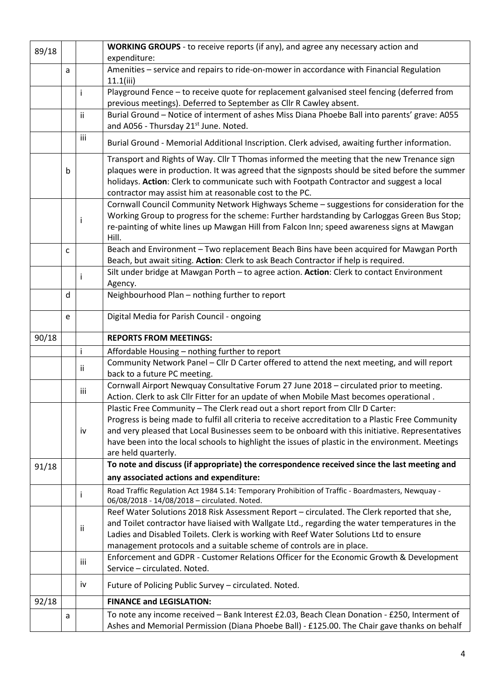| 89/18 |   |     | <b>WORKING GROUPS</b> - to receive reports (if any), and agree any necessary action and                                                                                                                                                                                                                                                                                                                            |  |  |  |
|-------|---|-----|--------------------------------------------------------------------------------------------------------------------------------------------------------------------------------------------------------------------------------------------------------------------------------------------------------------------------------------------------------------------------------------------------------------------|--|--|--|
|       |   |     | expenditure:                                                                                                                                                                                                                                                                                                                                                                                                       |  |  |  |
|       | a |     | Amenities - service and repairs to ride-on-mower in accordance with Financial Regulation<br>11.1(iii)                                                                                                                                                                                                                                                                                                              |  |  |  |
|       |   | Ť   | Playground Fence - to receive quote for replacement galvanised steel fencing (deferred from<br>previous meetings). Deferred to September as Cllr R Cawley absent.                                                                                                                                                                                                                                                  |  |  |  |
|       |   | ii. | Burial Ground - Notice of interment of ashes Miss Diana Phoebe Ball into parents' grave: A055<br>and A056 - Thursday 21 <sup>st</sup> June. Noted.                                                                                                                                                                                                                                                                 |  |  |  |
|       |   | iii | Burial Ground - Memorial Additional Inscription. Clerk advised, awaiting further information.                                                                                                                                                                                                                                                                                                                      |  |  |  |
|       | b |     | Transport and Rights of Way. Cllr T Thomas informed the meeting that the new Trenance sign<br>plaques were in production. It was agreed that the signposts should be sited before the summer<br>holidays. Action: Clerk to communicate such with Footpath Contractor and suggest a local<br>contractor may assist him at reasonable cost to the PC.                                                                |  |  |  |
|       |   | Ť   | Cornwall Council Community Network Highways Scheme - suggestions for consideration for the<br>Working Group to progress for the scheme: Further hardstanding by Carloggas Green Bus Stop;<br>re-painting of white lines up Mawgan Hill from Falcon Inn; speed awareness signs at Mawgan<br>Hill.                                                                                                                   |  |  |  |
|       | C |     | Beach and Environment - Two replacement Beach Bins have been acquired for Mawgan Porth<br>Beach, but await siting. Action: Clerk to ask Beach Contractor if help is required.                                                                                                                                                                                                                                      |  |  |  |
|       |   |     | Silt under bridge at Mawgan Porth - to agree action. Action: Clerk to contact Environment<br>Agency.                                                                                                                                                                                                                                                                                                               |  |  |  |
|       | d |     | Neighbourhood Plan - nothing further to report                                                                                                                                                                                                                                                                                                                                                                     |  |  |  |
|       | e |     | Digital Media for Parish Council - ongoing                                                                                                                                                                                                                                                                                                                                                                         |  |  |  |
| 90/18 |   |     | <b>REPORTS FROM MEETINGS:</b>                                                                                                                                                                                                                                                                                                                                                                                      |  |  |  |
|       |   | j.  | Affordable Housing - nothing further to report                                                                                                                                                                                                                                                                                                                                                                     |  |  |  |
|       |   | Ϊİ  | Community Network Panel - Cllr D Carter offered to attend the next meeting, and will report<br>back to a future PC meeting.                                                                                                                                                                                                                                                                                        |  |  |  |
|       |   | iii | Cornwall Airport Newquay Consultative Forum 27 June 2018 - circulated prior to meeting.<br>Action. Clerk to ask Cllr Fitter for an update of when Mobile Mast becomes operational.                                                                                                                                                                                                                                 |  |  |  |
|       |   | iv  | Plastic Free Community - The Clerk read out a short report from Cllr D Carter:<br>Progress is being made to fulfil all criteria to receive accreditation to a Plastic Free Community<br>and very pleased that Local Businesses seem to be onboard with this initiative. Representatives<br>have been into the local schools to highlight the issues of plastic in the environment. Meetings<br>are held quarterly. |  |  |  |
| 91/18 |   |     | To note and discuss (if appropriate) the correspondence received since the last meeting and                                                                                                                                                                                                                                                                                                                        |  |  |  |
|       |   |     | any associated actions and expenditure:                                                                                                                                                                                                                                                                                                                                                                            |  |  |  |
|       |   |     | Road Traffic Regulation Act 1984 S.14: Temporary Prohibition of Traffic - Boardmasters, Newquay -<br>06/08/2018 - 14/08/2018 - circulated. Noted.                                                                                                                                                                                                                                                                  |  |  |  |
|       |   | ii. | Reef Water Solutions 2018 Risk Assessment Report - circulated. The Clerk reported that she,<br>and Toilet contractor have liaised with Wallgate Ltd., regarding the water temperatures in the<br>Ladies and Disabled Toilets. Clerk is working with Reef Water Solutions Ltd to ensure<br>management protocols and a suitable scheme of controls are in place.                                                     |  |  |  |
|       |   | iii | Enforcement and GDPR - Customer Relations Officer for the Economic Growth & Development<br>Service - circulated. Noted.                                                                                                                                                                                                                                                                                            |  |  |  |
|       |   | iv  | Future of Policing Public Survey - circulated. Noted.                                                                                                                                                                                                                                                                                                                                                              |  |  |  |
| 92/18 |   |     |                                                                                                                                                                                                                                                                                                                                                                                                                    |  |  |  |
|       |   |     | <b>FINANCE and LEGISLATION:</b>                                                                                                                                                                                                                                                                                                                                                                                    |  |  |  |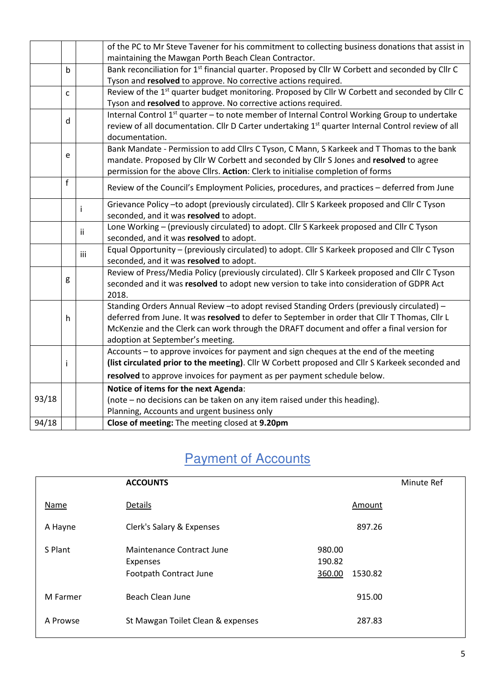|       |             |                                                                | of the PC to Mr Steve Tavener for his commitment to collecting business donations that assist in             |  |  |  |  |
|-------|-------------|----------------------------------------------------------------|--------------------------------------------------------------------------------------------------------------|--|--|--|--|
|       |             |                                                                | maintaining the Mawgan Porth Beach Clean Contractor.                                                         |  |  |  |  |
|       | $\mathsf b$ |                                                                | Bank reconciliation for 1 <sup>st</sup> financial quarter. Proposed by Cllr W Corbett and seconded by Cllr C |  |  |  |  |
|       |             | Tyson and resolved to approve. No corrective actions required. |                                                                                                              |  |  |  |  |
|       | C           |                                                                | Review of the 1 <sup>st</sup> quarter budget monitoring. Proposed by Cllr W Corbett and seconded by Cllr C   |  |  |  |  |
|       |             |                                                                | Tyson and resolved to approve. No corrective actions required.                                               |  |  |  |  |
|       |             |                                                                | Internal Control 1 <sup>st</sup> quarter - to note member of Internal Control Working Group to undertake     |  |  |  |  |
|       | d           |                                                                | review of all documentation. Cllr D Carter undertaking 1st quarter Internal Control review of all            |  |  |  |  |
|       |             |                                                                | documentation.                                                                                               |  |  |  |  |
|       | e           |                                                                | Bank Mandate - Permission to add Cllrs C Tyson, C Mann, S Karkeek and T Thomas to the bank                   |  |  |  |  |
|       |             |                                                                | mandate. Proposed by Cllr W Corbett and seconded by Cllr S Jones and resolved to agree                       |  |  |  |  |
|       |             |                                                                | permission for the above Cllrs. Action: Clerk to initialise completion of forms                              |  |  |  |  |
|       | f           |                                                                | Review of the Council's Employment Policies, procedures, and practices - deferred from June                  |  |  |  |  |
|       |             |                                                                | Grievance Policy -to adopt (previously circulated). Cllr S Karkeek proposed and Cllr C Tyson                 |  |  |  |  |
|       |             |                                                                | seconded, and it was resolved to adopt.                                                                      |  |  |  |  |
|       |             | Ϊİ                                                             | Lone Working - (previously circulated) to adopt. Cllr S Karkeek proposed and Cllr C Tyson                    |  |  |  |  |
|       |             |                                                                | seconded, and it was resolved to adopt.                                                                      |  |  |  |  |
|       |             | iii                                                            | Equal Opportunity - (previously circulated) to adopt. Cllr S Karkeek proposed and Cllr C Tyson               |  |  |  |  |
|       |             |                                                                | seconded, and it was resolved to adopt.                                                                      |  |  |  |  |
|       |             |                                                                | Review of Press/Media Policy (previously circulated). Cllr S Karkeek proposed and Cllr C Tyson               |  |  |  |  |
| g     |             |                                                                | seconded and it was resolved to adopt new version to take into consideration of GDPR Act                     |  |  |  |  |
|       |             |                                                                | 2018.                                                                                                        |  |  |  |  |
|       |             |                                                                | Standing Orders Annual Review - to adopt revised Standing Orders (previously circulated) -                   |  |  |  |  |
|       | h           |                                                                | deferred from June. It was resolved to defer to September in order that Cllr T Thomas, Cllr L                |  |  |  |  |
|       |             |                                                                | McKenzie and the Clerk can work through the DRAFT document and offer a final version for                     |  |  |  |  |
|       |             |                                                                | adoption at September's meeting.                                                                             |  |  |  |  |
|       |             |                                                                | Accounts - to approve invoices for payment and sign cheques at the end of the meeting                        |  |  |  |  |
|       | İ           |                                                                | (list circulated prior to the meeting). Cllr W Corbett proposed and Cllr S Karkeek seconded and              |  |  |  |  |
|       |             |                                                                | resolved to approve invoices for payment as per payment schedule below.                                      |  |  |  |  |
|       |             |                                                                | Notice of items for the next Agenda:                                                                         |  |  |  |  |
| 93/18 |             |                                                                | (note - no decisions can be taken on any item raised under this heading).                                    |  |  |  |  |
|       |             |                                                                | Planning, Accounts and urgent business only                                                                  |  |  |  |  |
| 94/18 |             |                                                                | Close of meeting: The meeting closed at 9.20pm                                                               |  |  |  |  |

## **Payment of Accounts**

|          | <b>ACCOUNTS</b>                                                 |                                       | Minute Ref |
|----------|-----------------------------------------------------------------|---------------------------------------|------------|
| Name     | Details                                                         | Amount                                |            |
| A Hayne  | Clerk's Salary & Expenses                                       | 897.26                                |            |
| S Plant  | Maintenance Contract June<br>Expenses<br>Footpath Contract June | 980.00<br>190.82<br>360.00<br>1530.82 |            |
| M Farmer | <b>Beach Clean June</b>                                         | 915.00                                |            |
| A Prowse | St Mawgan Toilet Clean & expenses                               | 287.83                                |            |